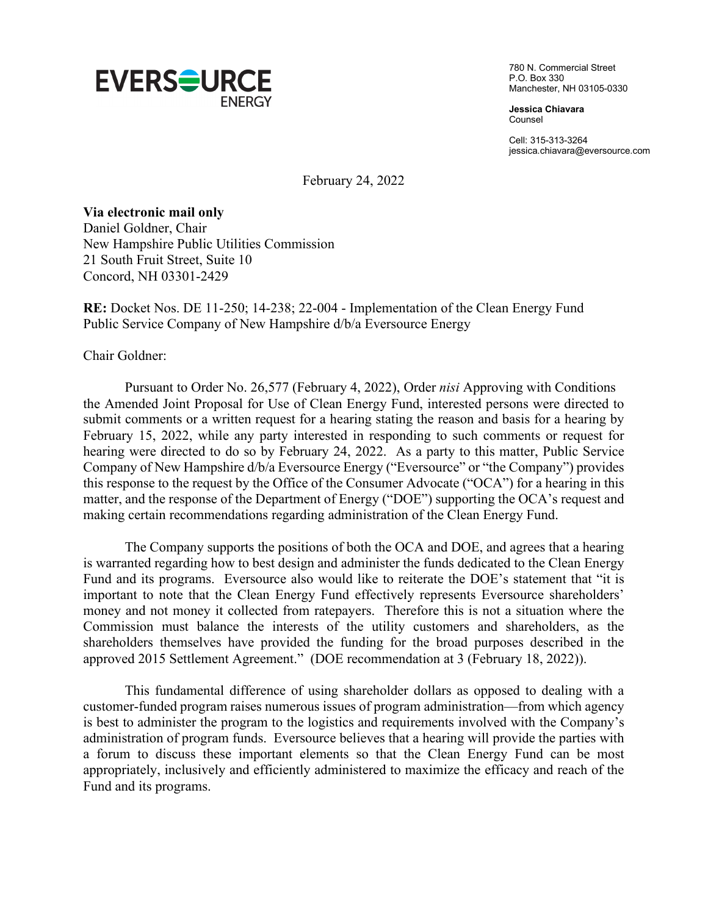

780 N. Commercial Street P.O. Box 330 Manchester, NH 03105-0330

**Jessica Chiavara** Counsel

Cell: 315-313-3264 jessica.chiavara@eversource.com

February 24, 2022

**Via electronic mail only**

Daniel Goldner, Chair New Hampshire Public Utilities Commission 21 South Fruit Street, Suite 10 Concord, NH 03301-2429

**RE:** Docket Nos. DE 11-250; 14-238; 22-004 - Implementation of the Clean Energy Fund Public Service Company of New Hampshire d/b/a Eversource Energy

Chair Goldner:

Pursuant to Order No. 26,577 (February 4, 2022), Order *nisi* Approving with Conditions the Amended Joint Proposal for Use of Clean Energy Fund, interested persons were directed to submit comments or a written request for a hearing stating the reason and basis for a hearing by February 15, 2022, while any party interested in responding to such comments or request for hearing were directed to do so by February 24, 2022. As a party to this matter, Public Service Company of New Hampshire d/b/a Eversource Energy ("Eversource" or "the Company") provides this response to the request by the Office of the Consumer Advocate ("OCA") for a hearing in this matter, and the response of the Department of Energy ("DOE") supporting the OCA's request and making certain recommendations regarding administration of the Clean Energy Fund.

 The Company supports the positions of both the OCA and DOE, and agrees that a hearing is warranted regarding how to best design and administer the funds dedicated to the Clean Energy Fund and its programs. Eversource also would like to reiterate the DOE's statement that "it is important to note that the Clean Energy Fund effectively represents Eversource shareholders' money and not money it collected from ratepayers. Therefore this is not a situation where the Commission must balance the interests of the utility customers and shareholders, as the shareholders themselves have provided the funding for the broad purposes described in the approved 2015 Settlement Agreement." (DOE recommendation at 3 (February 18, 2022)).

This fundamental difference of using shareholder dollars as opposed to dealing with a customer-funded program raises numerous issues of program administration—from which agency is best to administer the program to the logistics and requirements involved with the Company's administration of program funds. Eversource believes that a hearing will provide the parties with a forum to discuss these important elements so that the Clean Energy Fund can be most appropriately, inclusively and efficiently administered to maximize the efficacy and reach of the Fund and its programs.